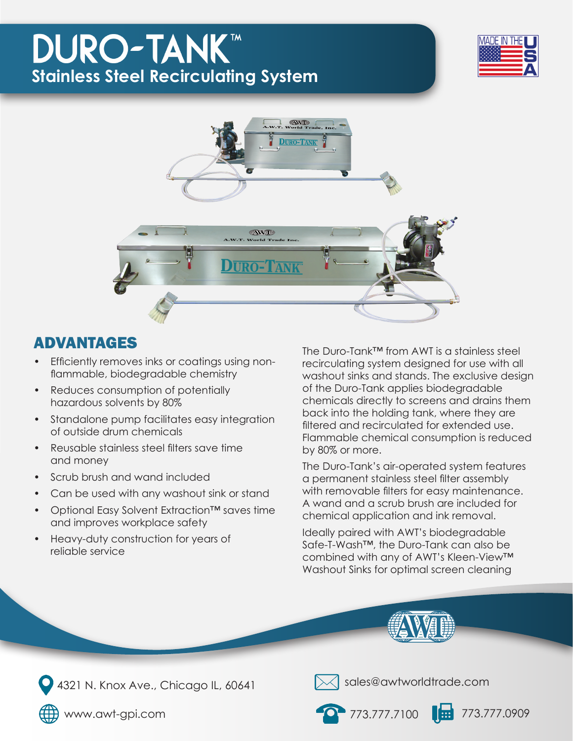## **DURO-TANK™ Stainless Steel Recirculating System**





### ADVANTAGES

- Efficiently removes inks or coatings using nonflammable, biodegradable chemistry
- Reduces consumption of potentially hazardous solvents by 80%
- Standalone pump facilitates easy integration of outside drum chemicals
- Reusable stainless steel filters save time and money
- Scrub brush and wand included
- Can be used with any washout sink or stand
- Optional Easy Solvent Extraction™ saves time and improves workplace safety
- Heavy-duty construction for years of reliable service

The Duro-Tank™ from AWT is a stainless steel recirculating system designed for use with all washout sinks and stands. The exclusive design of the Duro-Tank applies biodegradable chemicals directly to screens and drains them back into the holding tank, where they are filtered and recirculated for extended use. Flammable chemical consumption is reduced by 80% or more.

The Duro-Tank's air-operated system features a permanent stainless steel filter assembly with removable filters for easy maintenance. A wand and a scrub brush are included for chemical application and ink removal.

Ideally paired with AWT's biodegradable Safe-T-Wash™, the Duro-Tank can also be combined with any of AWT's Kleen-View™ Washout Sinks for optimal screen cleaning







 $\langle$  sales@awtworldtrade.com